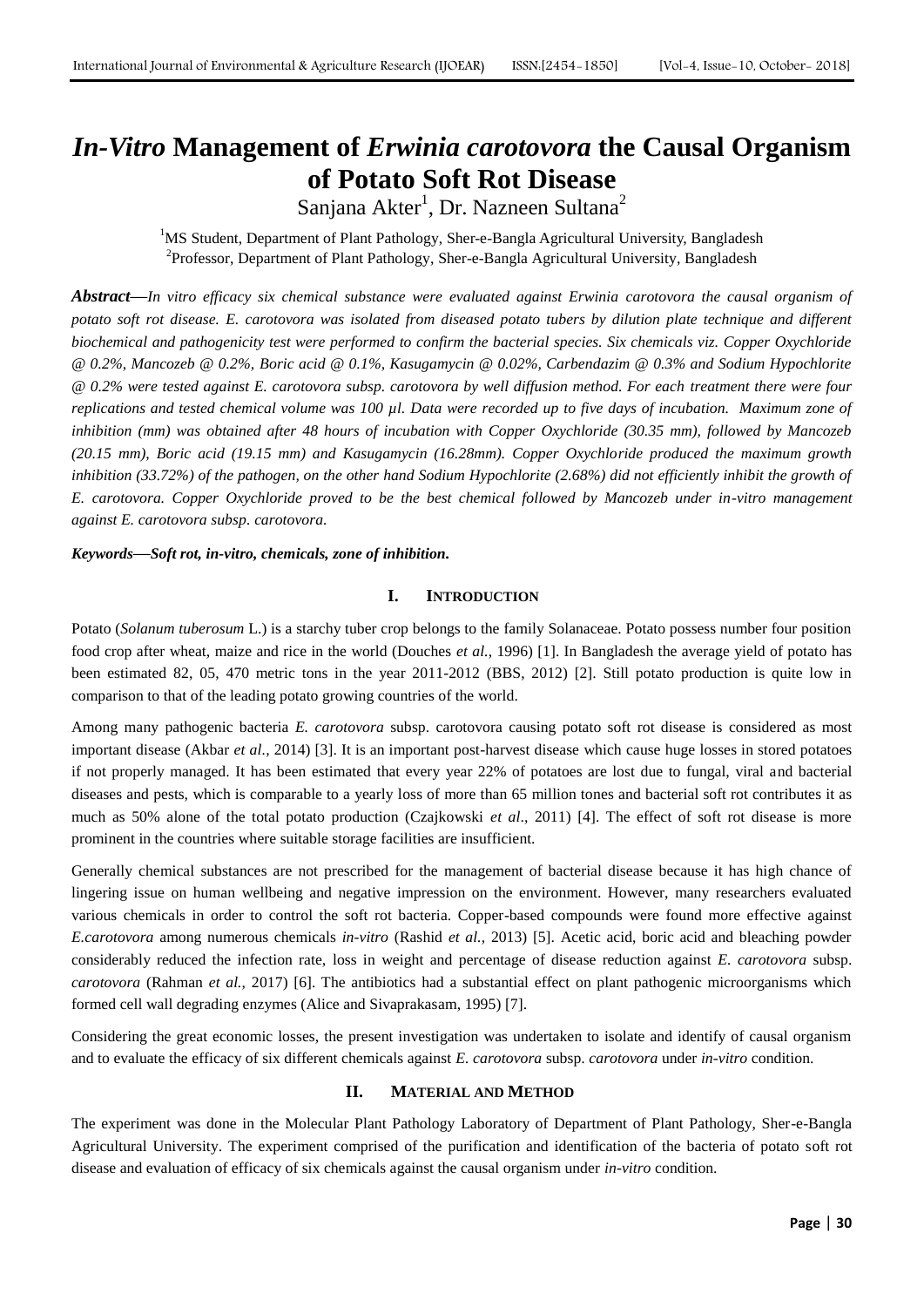# *In-Vitro* **Management of** *Erwinia carotovora* **the Causal Organism of Potato Soft Rot Disease**

Sanjana Akter<sup>1</sup>, Dr. Nazneen Sultana<sup>2</sup>

<sup>1</sup>MS Student, Department of Plant Pathology, Sher-e-Bangla Agricultural University, Bangladesh <sup>2</sup>Professor, Department of Plant Pathology, Sher-e-Bangla Agricultural University, Bangladesh

*Abstract***—***In vitro efficacy six chemical substance were evaluated against Erwinia carotovora the causal organism of potato soft rot disease. E. carotovora was isolated from diseased potato tubers by dilution plate technique and different biochemical and pathogenicity test were performed to confirm the bacterial species. Six chemicals viz. Copper Oxychloride @ 0.2%, Mancozeb @ 0.2%, Boric acid @ 0.1%, Kasugamycin @ 0.02%, Carbendazim @ 0.3% and Sodium Hypochlorite @ 0.2% were tested against E. carotovora subsp. carotovora by well diffusion method. For each treatment there were four replications and tested chemical volume was 100 µl. Data were recorded up to five days of incubation. Maximum zone of*  inhibition (mm) was obtained after 48 hours of incubation with Copper Oxychloride (30.35 mm), followed by Mancozeb *(20.15 mm), Boric acid (19.15 mm) and Kasugamycin (16.28mm). Copper Oxychloride produced the maximum growth inhibition (33.72%) of the pathogen, on the other hand Sodium Hypochlorite (2.68%) did not efficiently inhibit the growth of E. carotovora. Copper Oxychloride proved to be the best chemical followed by Mancozeb under in-vitro management against E. carotovora subsp. carotovora.*

*Keywords***—***Soft rot, in-vitro, chemicals, zone of inhibition.*

# **I. INTRODUCTION**

Potato (*Solanum tuberosum* L.) is a starchy tuber crop belongs to the family Solanaceae. Potato possess number four position food crop after wheat, maize and rice in the world (Douches *et al.*, 1996) [1]. In Bangladesh the average yield of potato has been estimated 82, 05, 470 metric tons in the year 2011-2012 (BBS, 2012) [2]. Still potato production is quite low in comparison to that of the leading potato growing countries of the world.

Among many pathogenic bacteria *E. carotovora* subsp. carotovora causing potato soft rot disease is considered as most important disease (Akbar *et al.,* 2014) [3]. It is an important post-harvest disease which cause huge losses in stored potatoes if not properly managed. It has been estimated that every year 22% of potatoes are lost due to fungal, viral and bacterial diseases and pests, which is comparable to a yearly loss of more than 65 million tones and bacterial soft rot contributes it as much as 50% alone of the total potato production (Czajkowski *et al*., 2011) [4]. The effect of soft rot disease is more prominent in the countries where suitable storage facilities are insufficient.

Generally chemical substances are not prescribed for the management of bacterial disease because it has high chance of lingering issue on human wellbeing and negative impression on the environment. However, many researchers evaluated various chemicals in order to control the soft rot bacteria. Copper-based compounds were found more effective against *E.carotovora* among numerous chemicals *in-vitro* (Rashid *et al.,* 2013) [5]. Acetic acid, boric acid and bleaching powder considerably reduced the infection rate, loss in weight and percentage of disease reduction against *E. carotovora* subsp. *carotovora* (Rahman *et al.,* 2017) [6]. The antibiotics had a substantial effect on plant pathogenic microorganisms which formed cell wall degrading enzymes (Alice and Sivaprakasam, 1995) [7].

Considering the great economic losses, the present investigation was undertaken to isolate and identify of causal organism and to evaluate the efficacy of six different chemicals against *E. carotovora* subsp. *carotovora* under *in-vitro* condition.

#### **II. MATERIAL AND METHOD**

The experiment was done in the Molecular Plant Pathology Laboratory of Department of Plant Pathology, Sher-e-Bangla Agricultural University. The experiment comprised of the purification and identification of the bacteria of potato soft rot disease and evaluation of efficacy of six chemicals against the causal organism under *in-vitro* condition.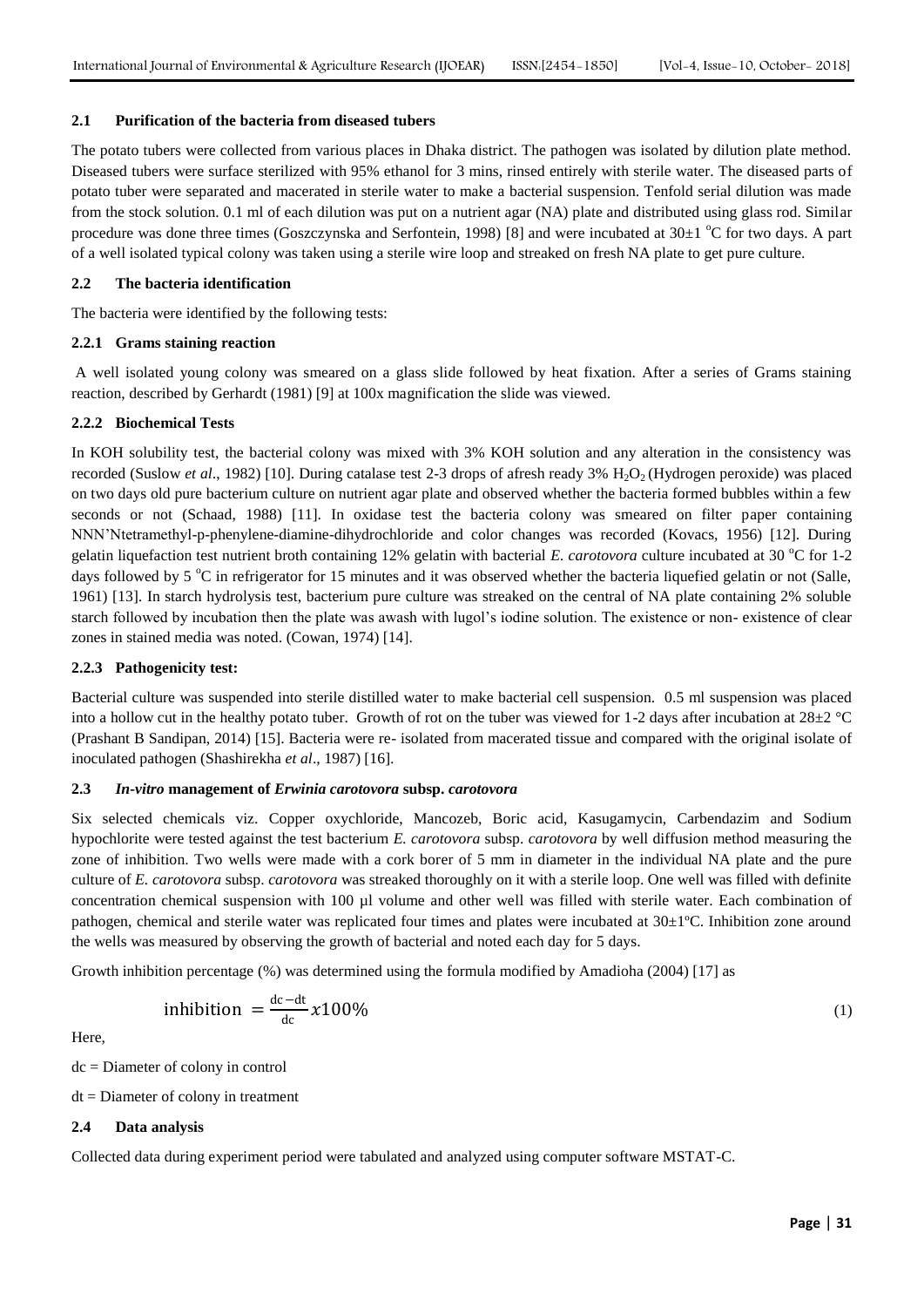## **2.1 Purification of the bacteria from diseased tubers**

The potato tubers were collected from various places in Dhaka district. The pathogen was isolated by dilution plate method. Diseased tubers were surface sterilized with 95% ethanol for 3 mins, rinsed entirely with sterile water. The diseased parts of potato tuber were separated and macerated in sterile water to make a bacterial suspension. Tenfold serial dilution was made from the stock solution. 0.1 ml of each dilution was put on a nutrient agar (NA) plate and distributed using glass rod. Similar procedure was done three times (Goszczynska and Serfontein, 1998) [8] and were incubated at  $30\pm1$  °C for two days. A part of a well isolated typical colony was taken using a sterile wire loop and streaked on fresh NA plate to get pure culture.

# **2.2 The bacteria identification**

The bacteria were identified by the following tests:

# **2.2.1 Grams staining reaction**

A well isolated young colony was smeared on a glass slide followed by heat fixation. After a series of Grams staining reaction, described by Gerhardt (1981) [9] at 100x magnification the slide was viewed.

# **2.2.2 Biochemical Tests**

In KOH solubility test, the bacterial colony was mixed with 3% KOH solution and any alteration in the consistency was recorded (Suslow *et al.*, 1982) [10]. During catalase test 2-3 drops of afresh ready 3% H<sub>2</sub>O<sub>2</sub> (Hydrogen peroxide) was placed on two days old pure bacterium culture on nutrient agar plate and observed whether the bacteria formed bubbles within a few seconds or not (Schaad, 1988) [11]. In oxidase test the bacteria colony was smeared on filter paper containing NNN'Ntetramethyl-p-phenylene-diamine-dihydrochloride and color changes was recorded (Kovacs, 1956) [12]. During gelatin liquefaction test nutrient broth containing 12% gelatin with bacterial *E. carotovora* culture incubated at 30  $^{\circ}$ C for 1-2 days followed by 5 °C in refrigerator for 15 minutes and it was observed whether the bacteria liquefied gelatin or not (Salle, 1961) [13]. In starch hydrolysis test, bacterium pure culture was streaked on the central of NA plate containing 2% soluble starch followed by incubation then the plate was awash with lugol's iodine solution. The existence or non- existence of clear zones in stained media was noted. (Cowan, 1974) [14].

#### **2.2.3 Pathogenicity test:**

Bacterial culture was suspended into sterile distilled water to make bacterial cell suspension. 0.5 ml suspension was placed into a hollow cut in the healthy potato tuber. Growth of rot on the tuber was viewed for 1-2 days after incubation at  $28\pm2$  °C (Prashant B Sandipan, 2014) [15]. Bacteria were re- isolated from macerated tissue and compared with the original isolate of inoculated pathogen (Shashirekha *et al*., 1987) [16].

#### **2.3** *In-vitro* **management of** *Erwinia carotovora* **subsp.** *carotovora*

Six selected chemicals viz. Copper oxychloride, Mancozeb, Boric acid, Kasugamycin, Carbendazim and Sodium hypochlorite were tested against the test bacterium *E. carotovora* subsp. *carotovora* by well diffusion method measuring the zone of inhibition. Two wells were made with a cork borer of 5 mm in diameter in the individual NA plate and the pure culture of *E. carotovora* subsp. *carotovora* was streaked thoroughly on it with a sterile loop. One well was filled with definite concentration chemical suspension with 100 µl volume and other well was filled with sterile water. Each combination of pathogen, chemical and sterile water was replicated four times and plates were incubated at 30±1ºC. Inhibition zone around the wells was measured by observing the growth of bacterial and noted each day for 5 days.

Growth inhibition percentage (%) was determined using the formula modified by Amadioha (2004) [17] as

inhibition 
$$
=\frac{\text{dc}-\text{dt}}{\text{dc}}x100\%
$$
 (1)

Here,

dc = Diameter of colony in control

dt = Diameter of colony in treatment

# **2.4 Data analysis**

Collected data during experiment period were tabulated and analyzed using computer software MSTAT-C.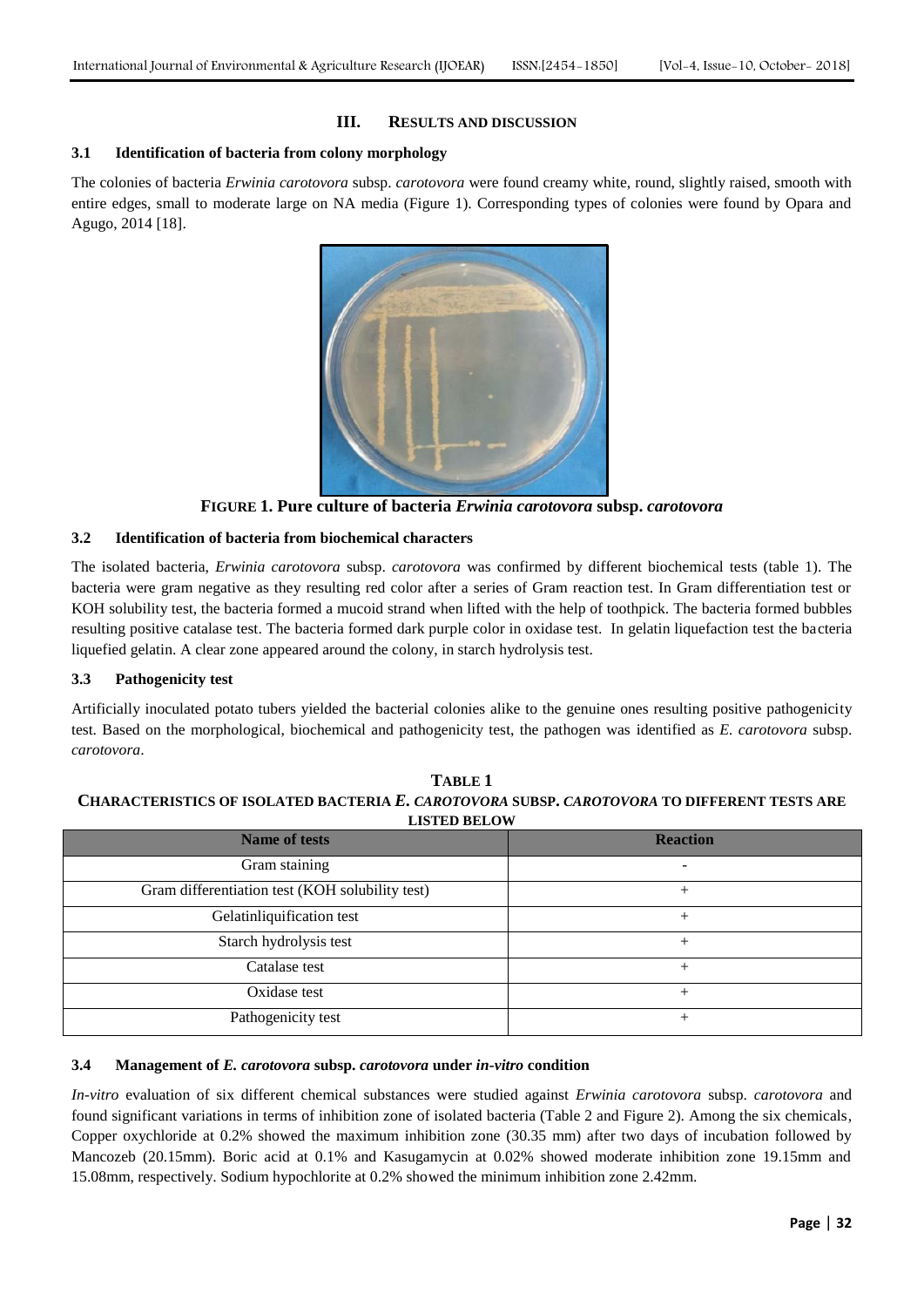# **III. RESULTS AND DISCUSSION**

# **3.1 Identification of bacteria from colony morphology**

The colonies of bacteria *Erwinia carotovora* subsp. *carotovora* were found creamy white, round, slightly raised, smooth with entire edges, small to moderate large on NA media (Figure 1). Corresponding types of colonies were found by Opara and Agugo, 2014 [18].



**FIGURE 1. Pure culture of bacteria** *Erwinia carotovora* **subsp.** *carotovora*

# **3.2 Identification of bacteria from biochemical characters**

The isolated bacteria, *Erwinia carotovora* subsp. *carotovora* was confirmed by different biochemical tests (table 1). The bacteria were gram negative as they resulting red color after a series of Gram reaction test. In Gram differentiation test or KOH solubility test, the bacteria formed a mucoid strand when lifted with the help of toothpick. The bacteria formed bubbles resulting positive catalase test. The bacteria formed dark purple color in oxidase test. In gelatin liquefaction test the bacteria liquefied gelatin. A clear zone appeared around the colony, in starch hydrolysis test.

# **3.3 Pathogenicity test**

Artificially inoculated potato tubers yielded the bacterial colonies alike to the genuine ones resulting positive pathogenicity test. Based on the morphological, biochemical and pathogenicity test, the pathogen was identified as *E. carotovora* subsp. *carotovora*.

| <b>BID 1 BD DEEV</b>                            |                 |  |  |  |  |
|-------------------------------------------------|-----------------|--|--|--|--|
| <b>Name of tests</b>                            | <b>Reaction</b> |  |  |  |  |
| Gram staining                                   |                 |  |  |  |  |
| Gram differentiation test (KOH solubility test) |                 |  |  |  |  |
| Gelatinliquification test                       |                 |  |  |  |  |
| Starch hydrolysis test                          | $^+$            |  |  |  |  |
| Catalase test                                   |                 |  |  |  |  |
| Oxidase test                                    | +               |  |  |  |  |
| Pathogenicity test                              |                 |  |  |  |  |
|                                                 |                 |  |  |  |  |

**TABLE 1 CHARACTERISTICS OF ISOLATED BACTERIA** *E. CAROTOVORA* **SUBSP.** *CAROTOVORA* **TO DIFFERENT TESTS ARE LISTED BELOW**

#### **3.4 Management of** *E. carotovora* **subsp.** *carotovora* **under** *in-vitro* **condition**

*In-vitro* evaluation of six different chemical substances were studied against *Erwinia carotovora* subsp. *carotovora* and found significant variations in terms of inhibition zone of isolated bacteria (Table 2 and Figure 2). Among the six chemicals, Copper oxychloride at 0.2% showed the maximum inhibition zone (30.35 mm) after two days of incubation followed by Mancozeb (20.15mm). Boric acid at 0.1% and Kasugamycin at 0.02% showed moderate inhibition zone 19.15mm and 15.08mm, respectively. Sodium hypochlorite at 0.2% showed the minimum inhibition zone 2.42mm.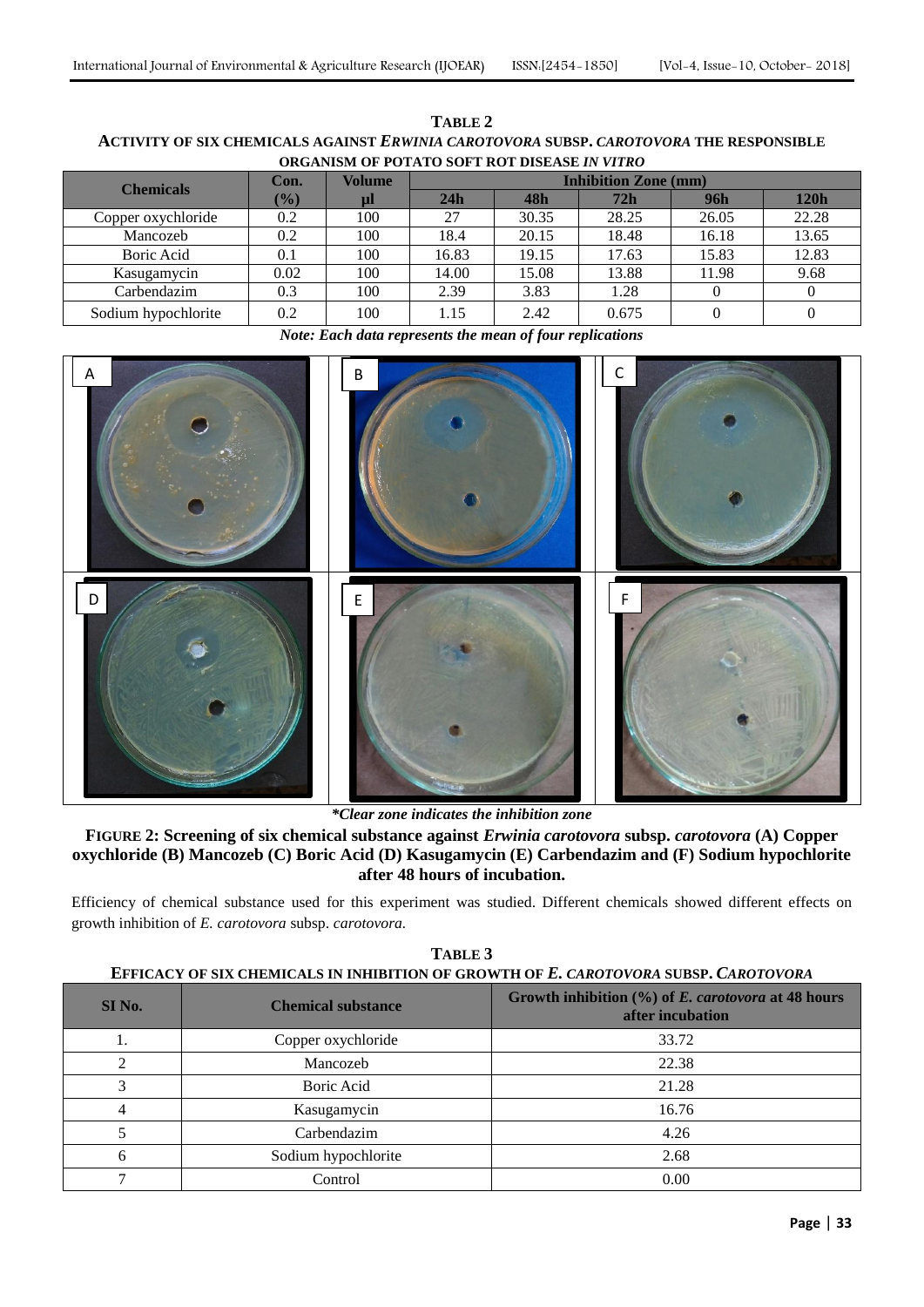| TABLE 2                                                                                |  |  |  |  |
|----------------------------------------------------------------------------------------|--|--|--|--|
| ACTIVITY OF SIX CHEMICALS AGAINST ERWINIA CAROTOVORA SUBSP. CAROTOVORA THE RESPONSIBLE |  |  |  |  |
| <b>ORGANISM OF POTATO SOFT ROT DISEASE IN VITRO</b>                                    |  |  |  |  |

| <b>Chemicals</b>    | Con.   | <b>Volume</b> | <b>Inhibition Zone (mm)</b> |       |       |       |       |
|---------------------|--------|---------------|-----------------------------|-------|-------|-------|-------|
|                     | $(\%)$ | $\mu$         | 24h                         | 48h   | 72h   | 96h   | 120h  |
| Copper oxychloride  | 0.2    | 100           | 27                          | 30.35 | 28.25 | 26.05 | 22.28 |
| Mancozeb            | 0.2    | 100           | 18.4                        | 20.15 | 18.48 | 16.18 | 13.65 |
| Boric Acid          | 0.1    | 100           | 16.83                       | 19.15 | 17.63 | 15.83 | 12.83 |
| Kasugamycin         | 0.02   | 100           | 14.00                       | 15.08 | 13.88 | 11.98 | 9.68  |
| Carbendazim         | 0.3    | 100           | 2.39                        | 3.83  | 1.28  |       |       |
| Sodium hypochlorite | 0.2    | 100           | 1.15                        | 2.42  | 0.675 |       |       |

*Note: Each data represents the mean of four replications*



*\*Clear zone indicates the inhibition zone* 

**FIGURE 2: Screening of six chemical substance against** *Erwinia carotovora* **subsp.** *carotovora* **(A) Copper oxychloride (B) Mancozeb (C) Boric Acid (D) Kasugamycin (E) Carbendazim and (F) Sodium hypochlorite after 48 hours of incubation.**

Efficiency of chemical substance used for this experiment was studied. Different chemicals showed different effects on growth inhibition of *E. carotovora* subsp. *carotovora.*

| SI No.       | <b>Chemical substance</b> | Growth inhibition $(\% )$ of <i>E. carotovora</i> at 48 hours<br>after incubation |  |  |
|--------------|---------------------------|-----------------------------------------------------------------------------------|--|--|
|              | Copper oxychloride        | 33.72                                                                             |  |  |
|              | Mancozeb                  | 22.38                                                                             |  |  |
|              | Boric Acid                | 21.28                                                                             |  |  |
|              | Kasugamycin               | 16.76                                                                             |  |  |
|              | Carbendazim               | 4.26                                                                              |  |  |
| <sub>b</sub> | Sodium hypochlorite       | 2.68                                                                              |  |  |
|              | Control                   | 0.00                                                                              |  |  |

**TABLE 3 EFFICACY OF SIX CHEMICALS IN INHIBITION OF GROWTH OF** *E. CAROTOVORA* **SUBSP.** *CAROTOVORA*